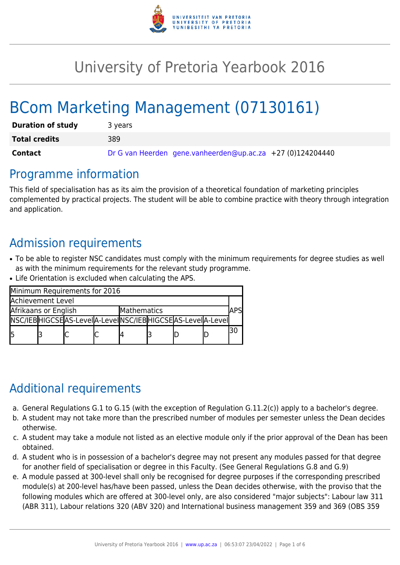

# University of Pretoria Yearbook 2016

# BCom Marketing Management (07130161)

| <b>Duration of study</b> | 3 years                                                    |  |  |  |  |  |  |
|--------------------------|------------------------------------------------------------|--|--|--|--|--|--|
| <b>Total credits</b>     | 389                                                        |  |  |  |  |  |  |
| Contact                  | Dr G van Heerden gene.vanheerden@up.ac.za +27 (0)124204440 |  |  |  |  |  |  |

### Programme information

This field of specialisation has as its aim the provision of a theoretical foundation of marketing principles complemented by practical projects. The student will be able to combine practice with theory through integration and application.

# Admission requirements

- To be able to register NSC candidates must comply with the minimum requirements for degree studies as well as with the minimum requirements for the relevant study programme.
- Life Orientation is excluded when calculating the APS.

| Minimum Requirements for 2016       |  |                                                          |  |  |  |  |  |  |  |
|-------------------------------------|--|----------------------------------------------------------|--|--|--|--|--|--|--|
| Achievement Level                   |  |                                                          |  |  |  |  |  |  |  |
| Afrikaans or English<br>Mathematics |  |                                                          |  |  |  |  |  |  |  |
|                                     |  | NSC/IEBHIGCSEAS-LevelA-LevelNSC/IEBHIGCSEAS-LevelA-Level |  |  |  |  |  |  |  |
| l5                                  |  |                                                          |  |  |  |  |  |  |  |

# Additional requirements

- a. General Regulations G.1 to G.15 (with the exception of Regulation G.11.2(c)) apply to a bachelor's degree.
- b. A student may not take more than the prescribed number of modules per semester unless the Dean decides otherwise.
- c. A student may take a module not listed as an elective module only if the prior approval of the Dean has been obtained.
- d. A student who is in possession of a bachelor's degree may not present any modules passed for that degree for another field of specialisation or degree in this Faculty. (See General Regulations G.8 and G.9)
- e. A module passed at 300-level shall only be recognised for degree purposes if the corresponding prescribed module(s) at 200-level has/have been passed, unless the Dean decides otherwise, with the proviso that the following modules which are offered at 300-level only, are also considered "major subjects": Labour law 311 (ABR 311), Labour relations 320 (ABV 320) and International business management 359 and 369 (OBS 359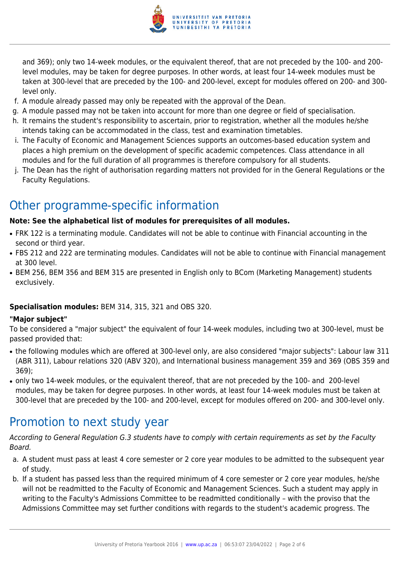

and 369); only two 14-week modules, or the equivalent thereof, that are not preceded by the 100- and 200 level modules, may be taken for degree purposes. In other words, at least four 14-week modules must be taken at 300-level that are preceded by the 100- and 200-level, except for modules offered on 200- and 300 level only.

- f. A module already passed may only be repeated with the approval of the Dean.
- g. A module passed may not be taken into account for more than one degree or field of specialisation.
- h. It remains the student's responsibility to ascertain, prior to registration, whether all the modules he/she intends taking can be accommodated in the class, test and examination timetables.
- i. The Faculty of Economic and Management Sciences supports an outcomes-based education system and places a high premium on the development of specific academic competences. Class attendance in all modules and for the full duration of all programmes is therefore compulsory for all students.
- j. The Dean has the right of authorisation regarding matters not provided for in the General Regulations or the Faculty Regulations.

# Other programme-specific information

#### **Note: See the alphabetical list of modules for prerequisites of all modules.**

- FRK 122 is a terminating module. Candidates will not be able to continue with Financial accounting in the second or third year.
- FBS 212 and 222 are terminating modules. Candidates will not be able to continue with Financial management at 300 level.
- BEM 256, BEM 356 and BEM 315 are presented in English only to BCom (Marketing Management) students exclusively.

#### **Specialisation modules:** BEM 314, 315, 321 and OBS 320.

#### **"Major subject"**

To be considered a "major subject" the equivalent of four 14-week modules, including two at 300-level, must be passed provided that:

- the following modules which are offered at 300-level only, are also considered "major subjects": Labour law 311 (ABR 311), Labour relations 320 (ABV 320), and International business management 359 and 369 (OBS 359 and 369);
- only two 14-week modules, or the equivalent thereof, that are not preceded by the 100- and 200-level modules, may be taken for degree purposes. In other words, at least four 14-week modules must be taken at 300-level that are preceded by the 100- and 200-level, except for modules offered on 200- and 300-level only.

### Promotion to next study year

According to General Regulation G.3 students have to comply with certain requirements as set by the Faculty Board.

- a. A student must pass at least 4 core semester or 2 core year modules to be admitted to the subsequent year of study.
- b. If a student has passed less than the required minimum of 4 core semester or 2 core year modules, he/she will not be readmitted to the Faculty of Economic and Management Sciences. Such a student may apply in writing to the Faculty's Admissions Committee to be readmitted conditionally – with the proviso that the Admissions Committee may set further conditions with regards to the student's academic progress. The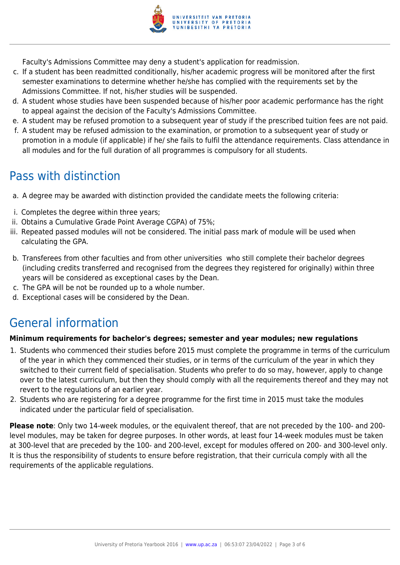

Faculty's Admissions Committee may deny a student's application for readmission.

- c. If a student has been readmitted conditionally, his/her academic progress will be monitored after the first semester examinations to determine whether he/she has complied with the requirements set by the Admissions Committee. If not, his/her studies will be suspended.
- d. A student whose studies have been suspended because of his/her poor academic performance has the right to appeal against the decision of the Faculty's Admissions Committee.
- e. A student may be refused promotion to a subsequent year of study if the prescribed tuition fees are not paid.
- f. A student may be refused admission to the examination, or promotion to a subsequent year of study or promotion in a module (if applicable) if he/ she fails to fulfil the attendance requirements. Class attendance in all modules and for the full duration of all programmes is compulsory for all students.

### Pass with distinction

- a. A degree may be awarded with distinction provided the candidate meets the following criteria:
- i. Completes the degree within three years;
- ii. Obtains a Cumulative Grade Point Average CGPA) of 75%;
- iii. Repeated passed modules will not be considered. The initial pass mark of module will be used when calculating the GPA.
- b. Transferees from other faculties and from other universities who still complete their bachelor degrees (including credits transferred and recognised from the degrees they registered for originally) within three years will be considered as exceptional cases by the Dean.
- c. The GPA will be not be rounded up to a whole number.
- d. Exceptional cases will be considered by the Dean.

### General information

#### **Minimum requirements for bachelor's degrees; semester and year modules; new regulations**

- 1. Students who commenced their studies before 2015 must complete the programme in terms of the curriculum of the year in which they commenced their studies, or in terms of the curriculum of the year in which they switched to their current field of specialisation. Students who prefer to do so may, however, apply to change over to the latest curriculum, but then they should comply with all the requirements thereof and they may not revert to the regulations of an earlier year.
- 2. Students who are registering for a degree programme for the first time in 2015 must take the modules indicated under the particular field of specialisation.

**Please note**: Only two 14-week modules, or the equivalent thereof, that are not preceded by the 100- and 200 level modules, may be taken for degree purposes. In other words, at least four 14-week modules must be taken at 300-level that are preceded by the 100- and 200-level, except for modules offered on 200- and 300-level only. It is thus the responsibility of students to ensure before registration, that their curricula comply with all the requirements of the applicable regulations.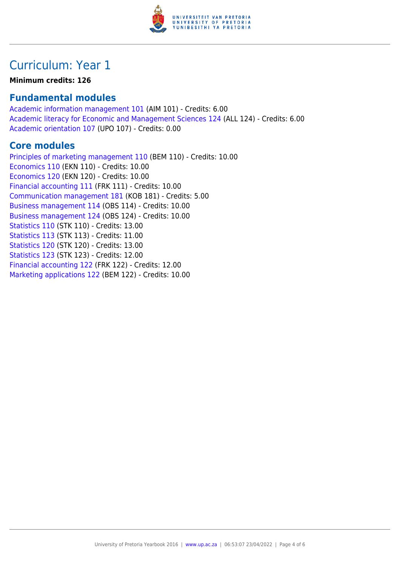

# Curriculum: Year 1

#### **Minimum credits: 126**

### **Fundamental modules**

[Academic information management 101](https://www.up.ac.za/yearbooks/2016/modules/view/AIM 101) (AIM 101) - Credits: 6.00 [Academic literacy for Economic and Management Sciences 124](https://www.up.ac.za/yearbooks/2016/modules/view/ALL 124) (ALL 124) - Credits: 6.00 [Academic orientation 107](https://www.up.ac.za/yearbooks/2016/modules/view/UPO 107) (UPO 107) - Credits: 0.00

### **Core modules**

[Principles of marketing management 110](https://www.up.ac.za/yearbooks/2016/modules/view/BEM 110) (BEM 110) - Credits: 10.00 [Economics 110](https://www.up.ac.za/yearbooks/2016/modules/view/EKN 110) (EKN 110) - Credits: 10.00 [Economics 120](https://www.up.ac.za/yearbooks/2016/modules/view/EKN 120) (EKN 120) - Credits: 10.00 [Financial accounting 111](https://www.up.ac.za/yearbooks/2016/modules/view/FRK 111) (FRK 111) - Credits: 10.00 [Communication management 181](https://www.up.ac.za/yearbooks/2016/modules/view/KOB 181) (KOB 181) - Credits: 5.00 [Business management 114](https://www.up.ac.za/yearbooks/2016/modules/view/OBS 114) (OBS 114) - Credits: 10.00 [Business management 124](https://www.up.ac.za/yearbooks/2016/modules/view/OBS 124) (OBS 124) - Credits: 10.00 [Statistics 110](https://www.up.ac.za/yearbooks/2016/modules/view/STK 110) (STK 110) - Credits: 13.00 [Statistics 113](https://www.up.ac.za/yearbooks/2016/modules/view/STK 113) (STK 113) - Credits: 11.00 [Statistics 120](https://www.up.ac.za/yearbooks/2016/modules/view/STK 120) (STK 120) - Credits: 13.00 [Statistics 123](https://www.up.ac.za/yearbooks/2016/modules/view/STK 123) (STK 123) - Credits: 12.00 [Financial accounting 122](https://www.up.ac.za/yearbooks/2016/modules/view/FRK 122) (FRK 122) - Credits: 12.00 [Marketing applications 122](https://www.up.ac.za/yearbooks/2016/modules/view/BEM 122) (BEM 122) - Credits: 10.00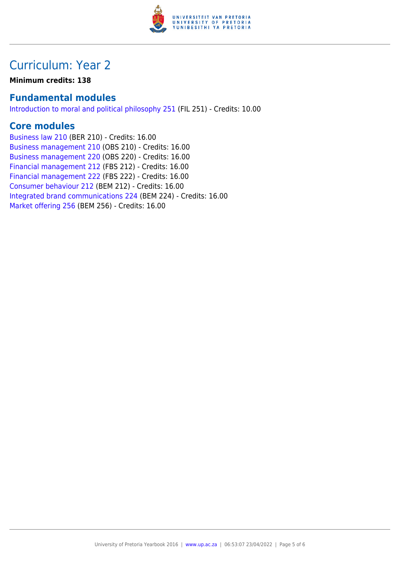

# Curriculum: Year 2

**Minimum credits: 138**

### **Fundamental modules**

[Introduction to moral and political philosophy 251](https://www.up.ac.za/yearbooks/2016/modules/view/FIL 251) (FIL 251) - Credits: 10.00

### **Core modules**

[Business law 210](https://www.up.ac.za/yearbooks/2016/modules/view/BER 210) (BER 210) - Credits: 16.00 [Business management 210](https://www.up.ac.za/yearbooks/2016/modules/view/OBS 210) (OBS 210) - Credits: 16.00 [Business management 220](https://www.up.ac.za/yearbooks/2016/modules/view/OBS 220) (OBS 220) - Credits: 16.00 [Financial management 212](https://www.up.ac.za/yearbooks/2016/modules/view/FBS 212) (FBS 212) - Credits: 16.00 [Financial management 222](https://www.up.ac.za/yearbooks/2016/modules/view/FBS 222) (FBS 222) - Credits: 16.00 [Consumer behaviour 212](https://www.up.ac.za/yearbooks/2016/modules/view/BEM 212) (BEM 212) - Credits: 16.00 [Integrated brand communications 224](https://www.up.ac.za/yearbooks/2016/modules/view/BEM 224) (BEM 224) - Credits: 16.00 [Market offering 256](https://www.up.ac.za/yearbooks/2016/modules/view/BEM 256) (BEM 256) - Credits: 16.00